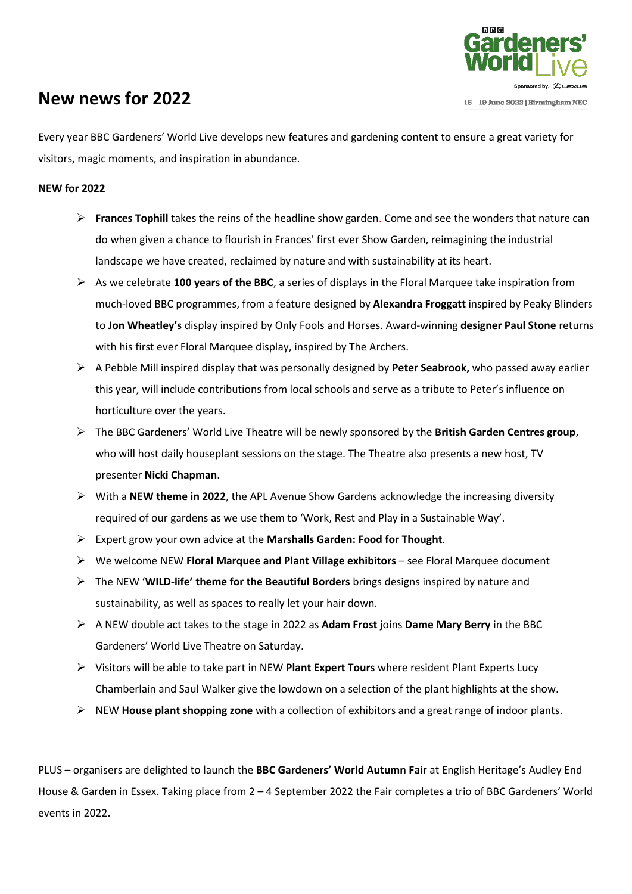

# **New news for 2022**

Every year BBC Gardeners' World Live develops new features and gardening content to ensure a great variety for visitors, magic moments, and inspiration in abundance.

# **NEW for 2022**

- ➢ **Frances Tophill** takes the reins of the headline show garden. Come and see the wonders that nature can do when given a chance to flourish in Frances' first ever Show Garden, reimagining the industrial landscape we have created, reclaimed by nature and with sustainability at its heart.
- ➢ As we celebrate **100 years of the BBC**, a series of displays in the Floral Marquee take inspiration from much-loved BBC programmes, from a feature designed by **Alexandra Froggatt** inspired by Peaky Blinders to **Jon Wheatley's** display inspired by Only Fools and Horses. Award-winning **designer Paul Stone** returns with his first ever Floral Marquee display, inspired by The Archers.
- ➢ A Pebble Mill inspired display that was personally designed by **Peter Seabrook,** who passed away earlier this year, will include contributions from local schools and serve as a tribute to Peter's influence on horticulture over the years.
- ➢ The BBC Gardeners' World Live Theatre will be newly sponsored by the **British Garden Centres group**, who will host daily houseplant sessions on the stage. The Theatre also presents a new host, TV presenter **Nicki Chapman**.
- ➢ With a **NEW theme in 2022**, the APL Avenue Show Gardens acknowledge the increasing diversity required of our gardens as we use them to 'Work, Rest and Play in a Sustainable Way'.
- ➢ Expert grow your own advice at the **Marshalls Garden: Food for Thought**.
- ➢ We welcome NEW **Floral Marquee and Plant Village exhibitors** see Floral Marquee document
- ➢ The NEW '**WILD-life' theme for the Beautiful Borders** brings designs inspired by nature and sustainability, as well as spaces to really let your hair down.
- ➢ A NEW double act takes to the stage in 2022 as **Adam Frost** joins **Dame Mary Berry** in the BBC Gardeners' World Live Theatre on Saturday.
- ➢ Visitors will be able to take part in NEW **Plant Expert Tours** where resident Plant Experts Lucy Chamberlain and Saul Walker give the lowdown on a selection of the plant highlights at the show.
- ➢ NEW **House plant shopping zone** with a collection of exhibitors and a great range of indoor plants.

PLUS – organisers are delighted to launch the **BBC Gardeners' World Autumn Fair** at English Heritage's Audley End House & Garden in Essex. Taking place from 2 – 4 September 2022 the Fair completes a trio of BBC Gardeners' World events in 2022.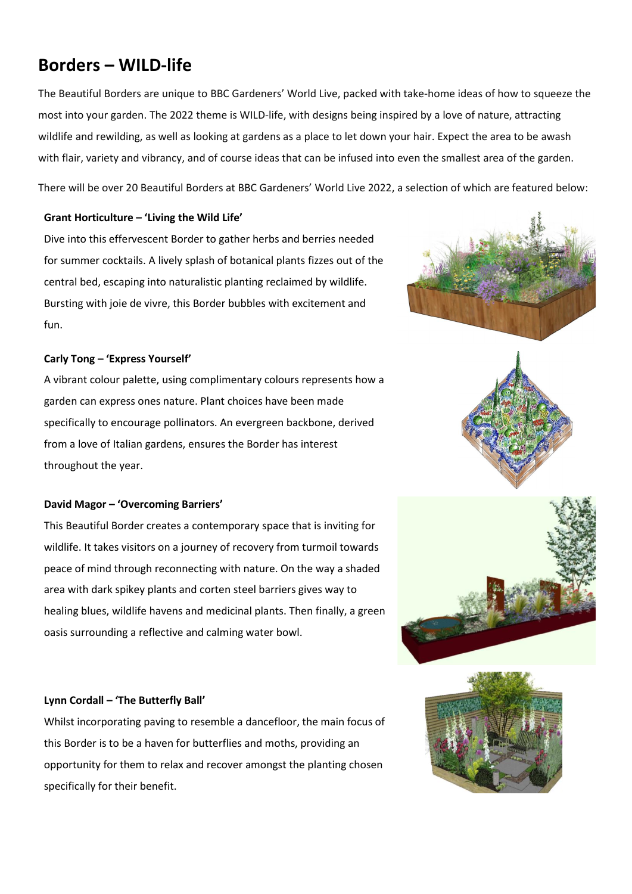# **Borders – WILD-life**

The Beautiful Borders are unique to BBC Gardeners' World Live, packed with take-home ideas of how to squeeze the most into your garden. The 2022 theme is WILD-life, with designs being inspired by a love of nature, attracting wildlife and rewilding, as well as looking at gardens as a place to let down your hair. Expect the area to be awash with flair, variety and vibrancy, and of course ideas that can be infused into even the smallest area of the garden.

There will be over 20 Beautiful Borders at BBC Gardeners' World Live 2022, a selection of which are featured below:

# **Grant Horticulture – 'Living the Wild Life'**

Dive into this effervescent Border to gather herbs and berries needed for summer cocktails. A lively splash of botanical plants fizzes out of the central bed, escaping into naturalistic planting reclaimed by wildlife. Bursting with joie de vivre, this Border bubbles with excitement and fun.

# **Carly Tong – 'Express Yourself'**

A vibrant colour palette, using complimentary colours represents how a garden can express ones nature. Plant choices have been made specifically to encourage pollinators. An evergreen backbone, derived from a love of Italian gardens, ensures the Border has interest throughout the year.

### **David Magor – 'Overcoming Barriers'**

This Beautiful Border creates a contemporary space that is inviting for wildlife. It takes visitors on a journey of recovery from turmoil towards peace of mind through reconnecting with nature. On the way a shaded area with dark spikey plants and corten steel barriers gives way to healing blues, wildlife havens and medicinal plants. Then finally, a green oasis surrounding a reflective and calming water bowl.







# **Lynn Cordall – 'The Butterfly Ball'**

Whilst incorporating paving to resemble a dancefloor, the main focus of this Border is to be a haven for butterflies and moths, providing an opportunity for them to relax and recover amongst the planting chosen specifically for their benefit.

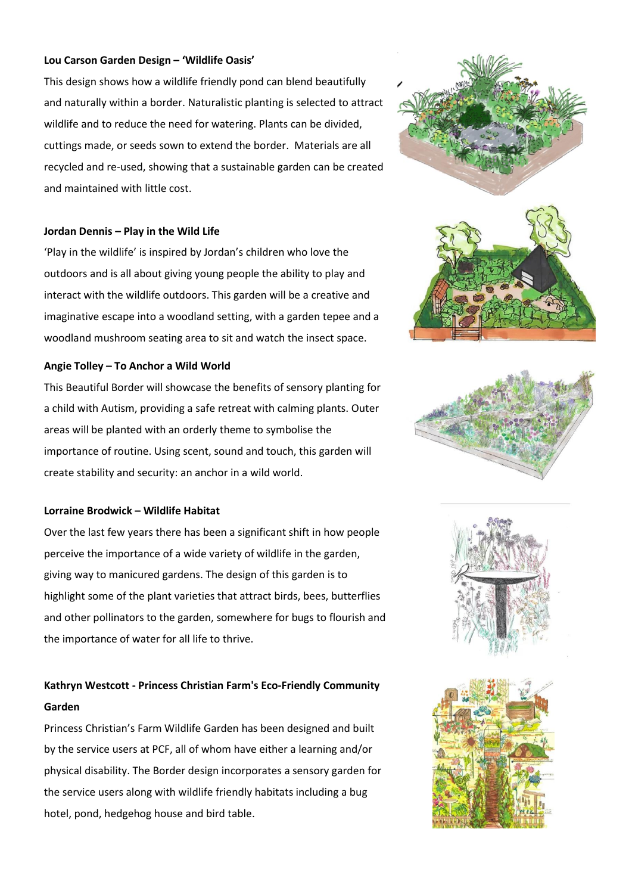#### **Lou Carson Garden Design – 'Wildlife Oasis'**

This design shows how a wildlife friendly pond can blend beautifully and naturally within a border. Naturalistic planting is selected to attract wildlife and to reduce the need for watering. Plants can be divided, cuttings made, or seeds sown to extend the border. Materials are all recycled and re-used, showing that a sustainable garden can be created and maintained with little cost.

#### **Jordan Dennis – Play in the Wild Life**

'Play in the wildlife' is inspired by Jordan's children who love the outdoors and is all about giving young people the ability to play and interact with the wildlife outdoors. This garden will be a creative and imaginative escape into a woodland setting, with a garden tepee and a woodland mushroom seating area to sit and watch the insect space.

#### **Angie Tolley – To Anchor a Wild World**

This Beautiful Border will showcase the benefits of sensory planting for a child with Autism, providing a safe retreat with calming plants. Outer areas will be planted with an orderly theme to symbolise the importance of routine. Using scent, sound and touch, this garden will create stability and security: an anchor in a wild world.

# **Lorraine Brodwick – Wildlife Habitat**

Over the last few years there has been a significant shift in how people perceive the importance of a wide variety of wildlife in the garden, giving way to manicured gardens. The design of this garden is to highlight some of the plant varieties that attract birds, bees, butterflies and other pollinators to the garden, somewhere for bugs to flourish and the importance of water for all life to thrive.

# **Kathryn Westcott - Princess Christian Farm's Eco-Friendly Community Garden**

Princess Christian's Farm Wildlife Garden has been designed and built by the service users at PCF, all of whom have either a learning and/or physical disability. The Border design incorporates a sensory garden for the service users along with wildlife friendly habitats including a bug hotel, pond, hedgehog house and bird table.